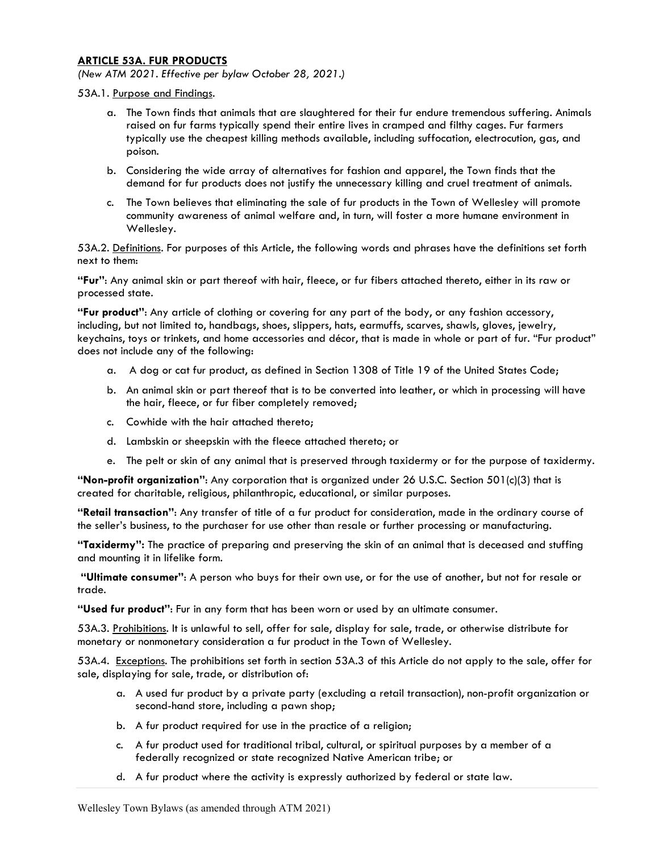## ARTICLE 53A. FUR PRODUCTS

(New ATM 2021. Effective per bylaw October 28, 2021.)

53A.1. Purpose and Findings.

- a. The Town finds that animals that are slaughtered for their fur endure tremendous suffering. Animals raised on fur farms typically spend their entire lives in cramped and filthy cages. Fur farmers typically use the cheapest killing methods available, including suffocation, electrocution, gas, and poison.
- b. Considering the wide array of alternatives for fashion and apparel, the Town finds that the demand for fur products does not justify the unnecessary killing and cruel treatment of animals.
- c. The Town believes that eliminating the sale of fur products in the Town of Wellesley will promote community awareness of animal welfare and, in turn, will foster a more humane environment in Wellesley.

53A.2. Definitions. For purposes of this Article, the following words and phrases have the definitions set forth next to them:

"Fur": Any animal skin or part thereof with hair, fleece, or fur fibers attached thereto, either in its raw or processed state.

"Fur product": Any article of clothing or covering for any part of the body, or any fashion accessory, including, but not limited to, handbags, shoes, slippers, hats, earmuffs, scarves, shawls, gloves, jewelry, keychains, toys or trinkets, and home accessories and décor, that is made in whole or part of fur. "Fur product" does not include any of the following:

- a. A dog or cat fur product, as defined in Section 1308 of Title 19 of the United States Code;
- b. An animal skin or part thereof that is to be converted into leather, or which in processing will have the hair, fleece, or fur fiber completely removed;
- c. Cowhide with the hair attached thereto;
- d. Lambskin or sheepskin with the fleece attached thereto; or
- e. The pelt or skin of any animal that is preserved through taxidermy or for the purpose of taxidermy.

"Non-profit organization": Any corporation that is organized under 26 U.S.C. Section 501(c)(3) that is created for charitable, religious, philanthropic, educational, or similar purposes.

"Retail transaction": Any transfer of title of a fur product for consideration, made in the ordinary course of the seller's business, to the purchaser for use other than resale or further processing or manufacturing.

"Taxidermy": The practice of preparing and preserving the skin of an animal that is deceased and stuffing and mounting it in lifelike form.

"Ultimate consumer": A person who buys for their own use, or for the use of another, but not for resale or trade.

"Used fur product": Fur in any form that has been worn or used by an ultimate consumer.

53A.3. Prohibitions. It is unlawful to sell, offer for sale, display for sale, trade, or otherwise distribute for monetary or nonmonetary consideration a fur product in the Town of Wellesley.

53A.4. Exceptions. The prohibitions set forth in section 53A.3 of this Article do not apply to the sale, offer for sale, displaying for sale, trade, or distribution of:

- a. A used fur product by a private party (excluding a retail transaction), non-profit organization or second-hand store, including a pawn shop;
- b. A fur product required for use in the practice of a religion;
- c. A fur product used for traditional tribal, cultural, or spiritual purposes by a member of a federally recognized or state recognized Native American tribe; or
- d. A fur product where the activity is expressly authorized by federal or state law.